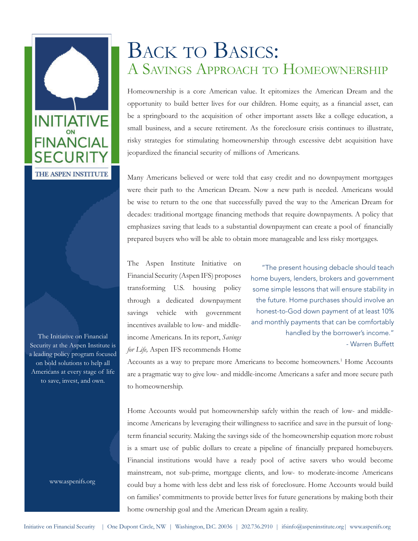

The Initiative on Financial Security at the Aspen Institute is a leading policy program focused on bold solutions to help all Americans at every stage of life to save, invest, and own.

www.aspenifs.org

# BACK TO BASICS: A SAVINGS APPROACH TO HOMEOWNERSHIP

Homeownership is a core American value. It epitomizes the American Dream and the opportunity to build better lives for our children. Home equity, as a financial asset, can be a springboard to the acquisition of other important assets like a college education, a small business, and a secure retirement. As the foreclosure crisis continues to illustrate, risky strategies for stimulating homeownership through excessive debt acquisition have jeopardized the financial security of millions of Americans.

Many Americans believed or were told that easy credit and no downpayment mortgages were their path to the American Dream. Now a new path is needed. Americans would be wise to return to the one that successfully paved the way to the American Dream for decades: traditional mortgage financing methods that require downpayments. A policy that emphasizes saving that leads to a substantial downpayment can create a pool of financially prepared buyers who will be able to obtain more manageable and less risky mortgages.

The Aspen Institute Initiative on Financial Security (Aspen IFS) proposes transforming U.S. housing policy through a dedicated downpayment savings vehicle with government incentives available to low- and middleincome Americans. In its report, *Savings for Life,* Aspen IFS recommends Home

"The present housing debacle should teach home buyers, lenders, brokers and government some simple lessons that will ensure stability in the future. Home purchases should involve an honest-to-God down payment of at least 10% and monthly payments that can be comfortably handled by the borrower's income." - Warren Buffett

Accounts as a way to prepare more Americans to become homeowners.<sup>1</sup> Home Accounts are a pragmatic way to give low- and middle-income Americans a safer and more secure path to homeownership.

Home Accounts would put homeownership safely within the reach of low- and middle income Americans by leveraging their willingness to sacrifice and save in the pursuit of longterm financial security. Making the savings side of the homeownership equation more robust is a smart use of public dollars to create a pipeline of financially prepared homebuyers. Financial institutions would have a ready pool of active savers who would become mainstream, not sub-prime, mortgage clients, and low- to moderate-income Americans could buy a home with less debt and less risk of foreclosure. Home Accounts would build on families' commitments to provide better lives for future generations by making both their home ownership goal and the American Dream again a reality.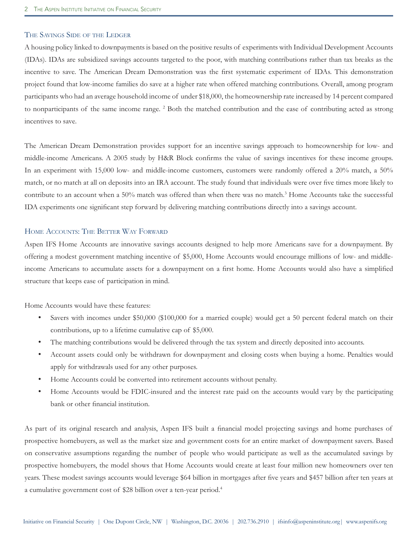## THE SAVINGS SIDE OF THE LEDGER

A housing policy linked to downpayments is based on the positive results of experiments with Individual Development Accounts (IDAs). IDAs are subsidized savings accounts targeted to the poor, with matching contributions rather than tax breaks as the incentive to save. The American Dream Demonstration was the first systematic experiment of IDAs. This demonstration project found that low-income families do save at a higher rate when offered matching contributions. Overall, among program participants who had an average household income of under \$18,000, the homeownership rate increased by 14 percent compared to nonparticipants of the same income range. <sup>2</sup> Both the matched contribution and the ease of contributing acted as strong incentives to save.

The American Dream Demonstration provides support for an incentive savings approach to homeownership for low- and middle-income Americans. A 2005 study by H&R Block confirms the value of savings incentives for these income groups. In an experiment with 15,000 low- and middle-income customers, customers were randomly offered a 20% match, a 50% match, or no match at all on deposits into an IRA account. The study found that individuals were over five times more likely to contribute to an account when a 50% match was offered than when there was no match.<sup>3</sup> Home Accounts take the successful IDA experiments one significant step forward by delivering matching contributions directly into a savings account.

### HOME ACCOUNTS: THE BETTER WAY FORWARD

Aspen IFS Home Accounts are innovative savings accounts designed to help more Americans save for a downpayment. By offering a modest government matching incentive of \$5,000, Home Accounts would encourage millions of low- and middle income Americans to accumulate assets for a downpayment on a first home. Home Accounts would also have a simplified structure that keeps ease of participation in mind.

Home Accounts would have these features:

- Savers with incomes under \$50,000 (\$100,000 for a married couple) would get a 50 percent federal match on their contributions, up to a lifetime cumulative cap of \$5,000.
- The matching contributions would be delivered through the tax system and directly deposited into accounts.
- M) Account assets could only be withdrawn for downpayment and closing costs when buying a home. Penalties would apply for withdrawals used for any other purposes.
- Home Accounts could be converted into retirement accounts without penalty.
- Home Accounts would be FDIC-insured and the interest rate paid on the accounts would vary by the participating bank or other financial institution.

As part of its original research and analysis, Aspen IFS built a financial model projecting savings and home purchases of prospective homebuyers, as well as the market size and government costs for an entire market of downpayment savers. Based on conservative assumptions regarding the number of people who would participate as well as the accumulated savings by prospective homebuyers, the model shows that Home Accounts would create at least four million new homeowners over ten years. These modest savings accounts would leverage \$64 billion in mortgages after five years and \$457 billion after ten years at a cumulative government cost of \$28 billion over a ten-year period.4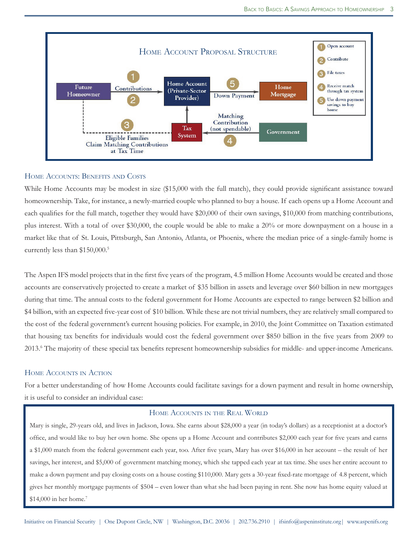

#### HOME ACCOUNTS: BENEFITS AND COSTS

While Home Accounts may be modest in size (\$15,000 with the full match), they could provide significant assistance toward homeownership. Take, for instance, a newly-married couple who planned to buy a house. If each opens up a Home Account and each qualifies for the full match, together they would have \$20,000 of their own savings, \$10,000 from matching contributions, plus interest. With a total of over \$30,000, the couple would be able to make a 20% or more downpayment on a house in a market like that of St. Louis, Pittsburgh, San Antonio, Atlanta, or Phoenix, where the median price of a single-family home is currently less than \$150,000.<sup>5</sup>

The Aspen IFS model projects that in the first five years of the program, 4.5 million Home Accounts would be created and those accounts are conservatively projected to create a market of \$35 billion in assets and leverage over \$60 billion in new mortgages during that time. The annual costs to the federal government for Home Accounts are expected to range between \$2 billion and \$4 billion, with an expected five-year cost of \$10 billion. While these are not trivial numbers, they are relatively small compared to the cost of the federal government's current housing policies. For example, in 2010, the Joint Committee on Taxation estimated that housing tax benefits for individuals would cost the federal government over \$850 billion in the five years from 2009 to 2013.<sup>6</sup> The majority of these special tax benefits represent homeownership subsidies for middle- and upper-income Americans.

#### HOME ACCOUNTS IN ACTION

For a better understanding of how Home Accounts could facilitate savings for a down payment and result in home ownership, it is useful to consider an individual case:

#### HOME ACCOUNTS IN THE REAL WORLD

Mary is single, 29-years old, and lives in Jackson, Iowa. She earns about \$28,000 a year (in today's dollars) as a receptionist at a doctor's office, and would like to buy her own home. She opens up a Home Account and contributes \$2,000 each year for five years and earns a \$1,000 match from the federal government each year, too. After five years, Mary has over \$16,000 in her account – the result of her savings, her interest, and \$5,000 of government matching money, which she tapped each year at tax time. She uses her entire account to make a down payment and pay closing costs on a house costing \$110,000. Mary gets a 30-year fixed-rate mortgage of 4.8 percent, which gives her monthly mortgage payments of \$504 – even lower than what she had been paying in rent. She now has home equity valued at \$14,000 in her home.<sup>7</sup>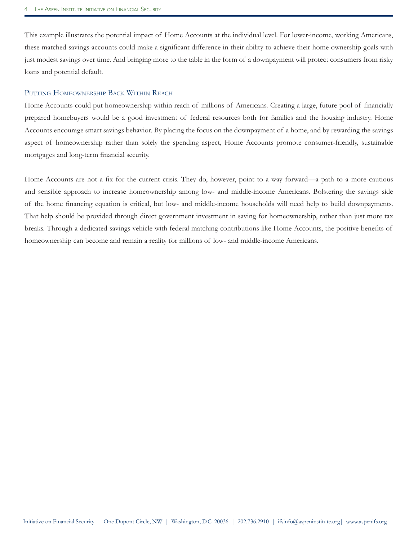This example illustrates the potential impact of Home Accounts at the individual level. For lower-income, working Americans, these matched savings accounts could make a significant difference in their ability to achieve their home ownership goals with just modest savings over time. And bringing more to the table in the form of a downpayment will protect consumers from risky loans and potential default.

#### PUTTING HOMEOWNERSHIP BACK WITHIN REACH

Home Accounts could put homeownership within reach of millions of Americans. Creating a large, future pool of financially prepared homebuyers would be a good investment of federal resources both for families and the housing industry. Home Accounts encourage smart savings behavior. By placing the focus on the downpayment of a home, and by rewarding the savings aspect of homeownership rather than solely the spending aspect, Home Accounts promote consumer-friendly, sustainable mortgages and long-term financial security.

Home Accounts are not a fix for the current crisis. They do, however, point to a way forward—a path to a more cautious and sensible approach to increase homeownership among low- and middle-income Americans. Bolstering the savings side of the home financing equation is critical, but low- and middle-income households will need help to build downpayments. That help should be provided through direct government investment in saving for homeownership, rather than just more tax breaks. Through a dedicated savings vehicle with federal matching contributions like Home Accounts, the positive benefits of homeownership can become and remain a reality for millions of low- and middle-income Americans.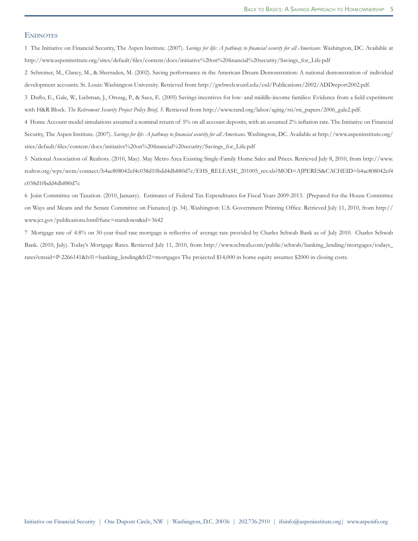#### **ENDNOTES**

1 The Initiative on Financial Security, The Aspen Institute. (2007). Savings for life: A pathway to financial security for all Americans. Washington, DC. Available at http://www.aspeninstitute.org/sites/default/files/content/docs/initiative%20on%20financial%20security/Savings\_for\_Life.pdf

2 Schreiner, M., Clancy, M., & Sherraden, M. (2002). Saving performance in the American Dream Demonstration: A national demonstration of individual development accounts. St. Louis: Washington University. Retrieved from http://gwbweb.wustl.edu/csd/Publications/2002/ADDreport2002.pdf.

3 Duflo, E., Gale, W., Liebman, J., Orszag, P., & Saez, E. (2005) Savings incentives for low- and middle-income families: Evidence from a field experiment with H&R Block. The Retirement Security Project Policy Brief, 5. Retrieved from http://www.rand.org/labor/aging/rsi/rsi\_papers/2006\_gale2.pdf.

4 Home Account model simulations assumed a nominal return of 5% on all account deposits, with an assumed 2% inflation rate. The Initiative on Financial Security, The Aspen Institute. (2007). Savings for life: A pathway to financial security for all Americans. Washington, DC. Available at http://www.aspeninstitute.org/ sites/default/files/content/docs/initiative%20on%20financial%20security/Savings\_for\_Life.pdf

5 National Association of Realtors. (2010, May). May Metro Area Existing Single-Family Home Sales and Prices. Retrieved July 8, 2010, from http://www. realtor.org/wps/wcm/connect/b4ae808042ef4c038d10bdd4db880d7c/EHS\_RELEASE\_201005\_rev.xls?MOD=AJPERES&CACHEID=b4ae808042ef4 c038d10bdd4db880d7c

6 Joint Committee on Taxation. (2010, January). Estimates of Federal Tax Expenditures for Fiscal Years 2009-2013. [Prepared for the House Committee on Ways and Means and the Senate Committee on Fianance] (p. 34). Washington: U.S. Government Printing Office. Retrieved July 11, 2010, from http:// www.jct.gov/publications.html?func=startdown&id=3642

7 Mortgage rate of 4.8% on 30-year fixed rate mortgage is reflective of average rate provided by Charles Schwab Bank as of July 2010. Charles Schwab Bank. (2010, July). Today's Mortgage Rates. Retrieved July 11, 2010, from http://www.schwab.com/public/schwab/banking\_lending/mortgages/todays\_ rates?cmsid=P-2266141&lvl1=banking\_lending&lvl2=mortgages The projected \$14,000 in home equity assumes \$2000 in closing costs.